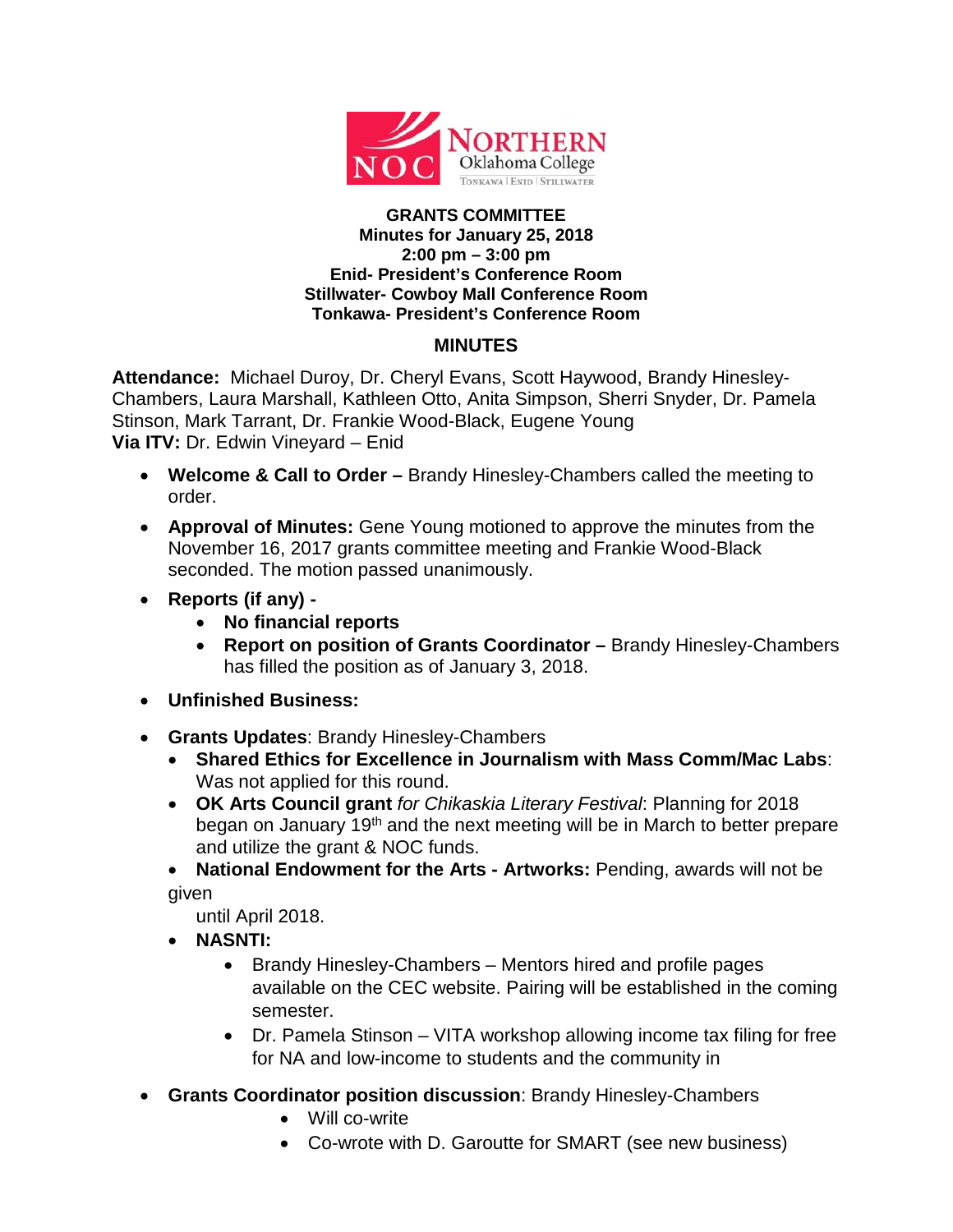

## **GRANTS COMMITTEE Minutes for January 25, 2018 2:00 pm – 3:00 pm Enid- President's Conference Room Stillwater- Cowboy Mall Conference Room Tonkawa- President's Conference Room**

## **MINUTES**

**Attendance:** Michael Duroy, Dr. Cheryl Evans, Scott Haywood, Brandy Hinesley-Chambers, Laura Marshall, Kathleen Otto, Anita Simpson, Sherri Snyder, Dr. Pamela Stinson, Mark Tarrant, Dr. Frankie Wood-Black, Eugene Young **Via ITV:** Dr. Edwin Vineyard – Enid

- **Welcome & Call to Order –** Brandy Hinesley-Chambers called the meeting to order.
- **Approval of Minutes:** Gene Young motioned to approve the minutes from the November 16, 2017 grants committee meeting and Frankie Wood-Black seconded. The motion passed unanimously.
- **Reports (if any) -**
	- **No financial reports**
	- **Report on position of Grants Coordinator –** Brandy Hinesley-Chambers has filled the position as of January 3, 2018.
- **Unfinished Business:**
- **Grants Updates**: Brandy Hinesley-Chambers
	- **Shared Ethics for Excellence in Journalism with Mass Comm/Mac Labs**: Was not applied for this round.
	- **OK Arts Council grant** *for Chikaskia Literary Festival*: Planning for 2018 began on January 19<sup>th</sup> and the next meeting will be in March to better prepare and utilize the grant & NOC funds.
	- **National Endowment for the Arts - Artworks:** Pending, awards will not be given

until April 2018.

- **NASNTI:** 
	- Brandy Hinesley-Chambers Mentors hired and profile pages available on the CEC website. Pairing will be established in the coming semester.
	- Dr. Pamela Stinson VITA workshop allowing income tax filing for free for NA and low-income to students and the community in
- **Grants Coordinator position discussion**: Brandy Hinesley-Chambers
	- Will co-write
	- Co-wrote with D. Garoutte for SMART (see new business)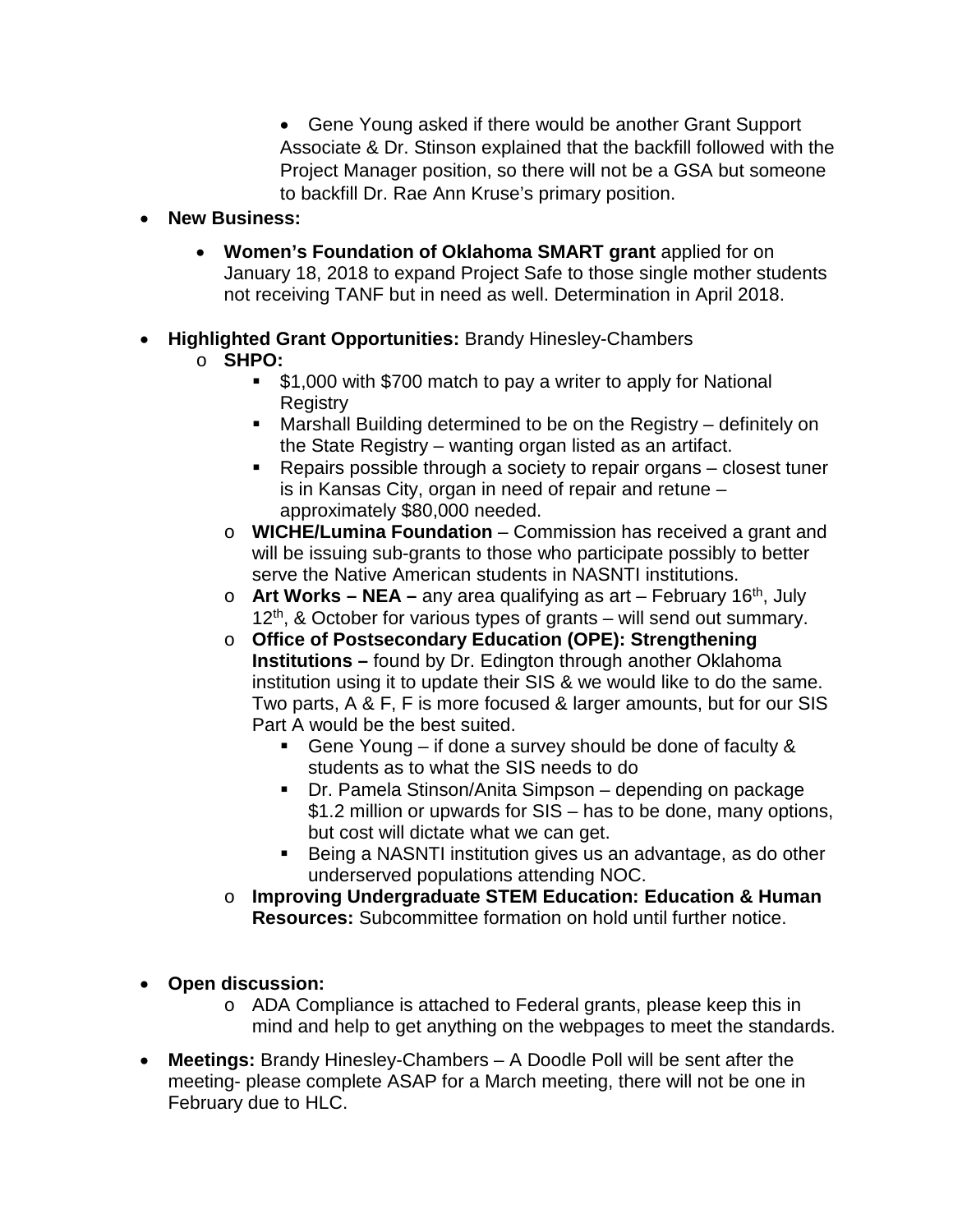• Gene Young asked if there would be another Grant Support Associate & Dr. Stinson explained that the backfill followed with the Project Manager position, so there will not be a GSA but someone to backfill Dr. Rae Ann Kruse's primary position.

- **New Business:**
	- **Women's Foundation of Oklahoma SMART grant** applied for on January 18, 2018 to expand Project Safe to those single mother students not receiving TANF but in need as well. Determination in April 2018.
- **Highlighted Grant Opportunities:** Brandy Hinesley-Chambers
	- o **SHPO:**
		- **51,000 with \$700 match to pay a writer to apply for National Registry**
		- Marshall Building determined to be on the Registry definitely on the State Registry – wanting organ listed as an artifact.
		- Repairs possible through a society to repair organs closest tuner is in Kansas City, organ in need of repair and retune – approximately \$80,000 needed.
		- o **WICHE/Lumina Foundation** Commission has received a grant and will be issuing sub-grants to those who participate possibly to better serve the Native American students in NASNTI institutions.
		- o **Art Works – NEA –** any area qualifying as art February 16th, July  $12<sup>th</sup>$ , & October for various types of grants – will send out summary.
		- o **Office of Postsecondary Education (OPE): Strengthening Institutions –** found by Dr. Edington through another Oklahoma institution using it to update their SIS & we would like to do the same. Two parts, A & F, F is more focused & larger amounts, but for our SIS Part A would be the best suited.
			- Gene Young if done a survey should be done of faculty & students as to what the SIS needs to do
			- Dr. Pamela Stinson/Anita Simpson depending on package \$1.2 million or upwards for SIS – has to be done, many options, but cost will dictate what we can get.
			- Being a NASNTI institution gives us an advantage, as do other underserved populations attending NOC.
		- o **Improving Undergraduate STEM Education: Education & Human Resources:** Subcommittee formation on hold until further notice.
- **Open discussion:** 
	- o ADA Compliance is attached to Federal grants, please keep this in mind and help to get anything on the webpages to meet the standards.
- **Meetings:** Brandy Hinesley-Chambers A Doodle Poll will be sent after the meeting- please complete ASAP for a March meeting, there will not be one in February due to HLC.